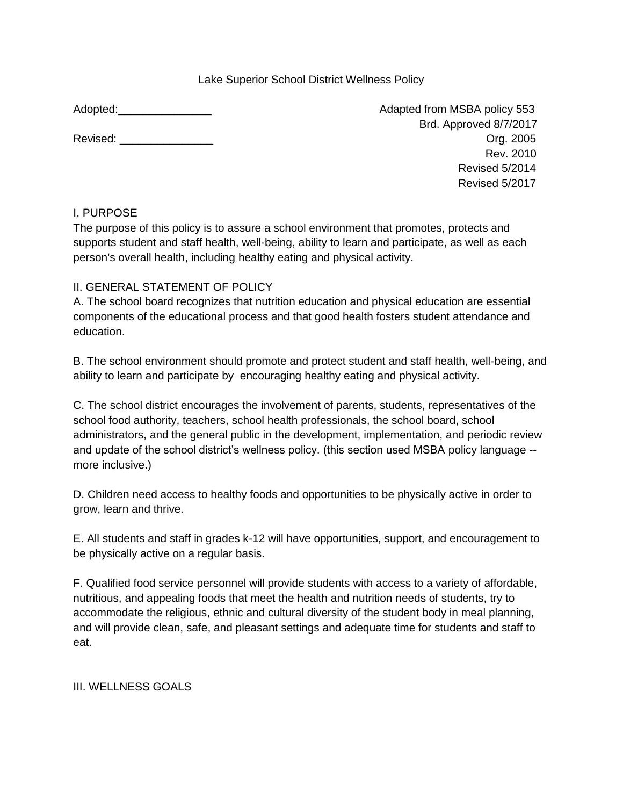#### Lake Superior School District Wellness Policy

| Revised: |  |
|----------|--|
|          |  |

Adopted: Adopted: Adapted from MSBA policy 553 Brd. Approved 8/7/2017 Revised: \_\_\_\_\_\_\_\_\_\_\_\_\_\_\_ Org. 2005 Rev. 2010 Revised 5/2014 Revised 5/2017

## I. PURPOSE

The purpose of this policy is to assure a school environment that promotes, protects and supports student and staff health, well-being, ability to learn and participate, as well as each person's overall health, including healthy eating and physical activity.

## II. GENERAL STATEMENT OF POLICY

A. The school board recognizes that nutrition education and physical education are essential components of the educational process and that good health fosters student attendance and education.

B. The school environment should promote and protect student and staff health, well-being, and ability to learn and participate by encouraging healthy eating and physical activity.

C. The school district encourages the involvement of parents, students, representatives of the school food authority, teachers, school health professionals, the school board, school administrators, and the general public in the development, implementation, and periodic review and update of the school district's wellness policy. (this section used MSBA policy language - more inclusive.)

D. Children need access to healthy foods and opportunities to be physically active in order to grow, learn and thrive.

E. All students and staff in grades k-12 will have opportunities, support, and encouragement to be physically active on a regular basis.

F. Qualified food service personnel will provide students with access to a variety of affordable, nutritious, and appealing foods that meet the health and nutrition needs of students, try to accommodate the religious, ethnic and cultural diversity of the student body in meal planning, and will provide clean, safe, and pleasant settings and adequate time for students and staff to eat.

III. WELLNESS GOALS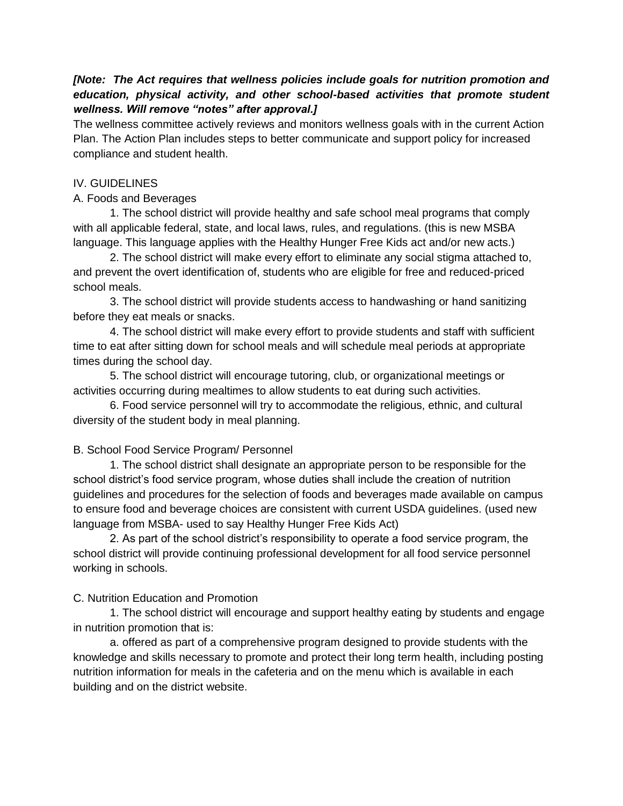#### *[Note: The Act requires that wellness policies include goals for nutrition promotion and education, physical activity, and other school-based activities that promote student wellness. Will remove "notes" after approval.]*

The wellness committee actively reviews and monitors wellness goals with in the current Action Plan. The Action Plan includes steps to better communicate and support policy for increased compliance and student health.

#### IV. GUIDELINES

#### A. Foods and Beverages

1. The school district will provide healthy and safe school meal programs that comply with all applicable federal, state, and local laws, rules, and regulations. (this is new MSBA language. This language applies with the Healthy Hunger Free Kids act and/or new acts.)

2. The school district will make every effort to eliminate any social stigma attached to, and prevent the overt identification of, students who are eligible for free and reduced-priced school meals.

3. The school district will provide students access to handwashing or hand sanitizing before they eat meals or snacks.

4. The school district will make every effort to provide students and staff with sufficient time to eat after sitting down for school meals and will schedule meal periods at appropriate times during the school day.

5. The school district will encourage tutoring, club, or organizational meetings or activities occurring during mealtimes to allow students to eat during such activities.

6. Food service personnel will try to accommodate the religious, ethnic, and cultural diversity of the student body in meal planning.

## B. School Food Service Program/ Personnel

1. The school district shall designate an appropriate person to be responsible for the school district's food service program, whose duties shall include the creation of nutrition guidelines and procedures for the selection of foods and beverages made available on campus to ensure food and beverage choices are consistent with current USDA guidelines. (used new language from MSBA- used to say Healthy Hunger Free Kids Act)

2. As part of the school district's responsibility to operate a food service program, the school district will provide continuing professional development for all food service personnel working in schools.

## C. Nutrition Education and Promotion

1. The school district will encourage and support healthy eating by students and engage in nutrition promotion that is:

a. offered as part of a comprehensive program designed to provide students with the knowledge and skills necessary to promote and protect their long term health, including posting nutrition information for meals in the cafeteria and on the menu which is available in each building and on the district website.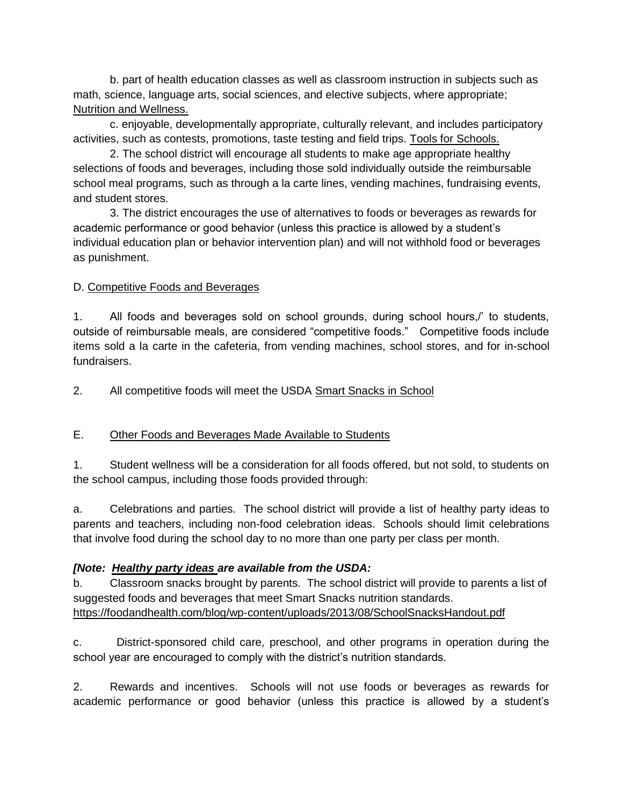b. part of health education classes as well as classroom instruction in subjects such as math, science, language arts, social sciences, and elective subjects, where appropriate; [Nutrition and Wellness.](http://education.state.mn.us/MDE/dse/FNS/prog/CACFPCen/nut/index.htm) 

c. enjoyable, developmentally appropriate, culturally relevant, and includes participatory activities, such as contests, promotions, taste testing and field trips. [Tools for Schools.](http://www.actionforhealthykids.org/tools-for-schools)

2. The school district will encourage all students to make age appropriate healthy selections of foods and beverages, including those sold individually outside the reimbursable school meal programs, such as through a la carte lines, vending machines, fundraising events, and student stores.

3. The district encourages the use of alternatives to foods or beverages as rewards for academic performance or good behavior (unless this practice is allowed by a student's individual education plan or behavior intervention plan) and will not withhold food or beverages as punishment.

## D. Competitive Foods and Beverages

1. All foods and beverages sold on school grounds, during school hours,/' to students, outside of reimbursable meals, are considered "competitive foods." Competitive foods include items sold a la carte in the cafeteria, from vending machines, school stores, and for in-school fundraisers.

2. All competitive foods will meet the USDA [Smart Snacks in School](https://www.fns.usda.gov/sites/default/files/tn/USDASmartSnacks.pdf)

# E. Other Foods and Beverages Made Available to Students

1. Student wellness will be a consideration for all foods offered, but not sold, to students on the school campus, including those foods provided through:

a. Celebrations and parties. The school district will provide a list of healthy party ideas to parents and teachers, including non-food celebration ideas. Schools should limit celebrations that involve food during the school day to no more than one party per class per month.

## *[Note: [Healthy party ideas a](https://healthymeals.fns.usda.gov/local-wellness-policy-resources/wellness-policy-elements/healthy-celebrations)re available from the USDA:*

b. Classroom snacks brought by parents. The school district will provide to parents a list of suggested foods and beverages that meet Smart Snacks nutrition standards. <https://foodandhealth.com/blog/wp-content/uploads/2013/08/SchoolSnacksHandout.pdf>

c. District-sponsored child care, preschool, and other programs in operation during the school year are encouraged to comply with the district's nutrition standards.

2. Rewards and incentives. Schools will not use foods or beverages as rewards for academic performance or good behavior (unless this practice is allowed by a student's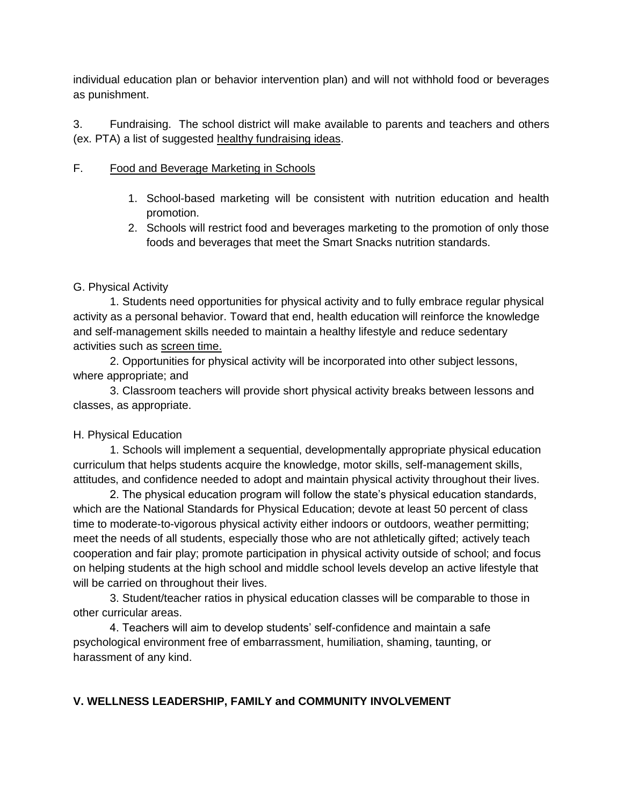individual education plan or behavior intervention plan) and will not withhold food or beverages as punishment.

3. Fundraising. The school district will make available to parents and teachers and others (ex. PTA) a list of suggested [healthy fundraising ideas.](https://www.fns.usda.gov/sites/default/files/cn/bestpractices_fundraisers.pdf)

#### F. Food and Beverage Marketing in Schools

- 1. School-based marketing will be consistent with nutrition education and health promotion.
- 2. Schools will restrict food and beverages marketing to the promotion of only those foods and beverages that meet the Smart Snacks nutrition standards.

## G. Physical Activity

1. Students need opportunities for physical activity and to fully embrace regular physical activity as a personal behavior. Toward that end, health education will reinforce the knowledge and self-management skills needed to maintain a healthy lifestyle and reduce sedentary activities such as screen time.

2. Opportunities for physical activity will be incorporated into other subject lessons, where appropriate; and

3. Classroom teachers will provide short physical activity breaks between lessons and classes, as appropriate.

## H. Physical Education

1. Schools will implement a sequential, developmentally appropriate physical education curriculum that helps students acquire the knowledge, motor skills, self-management skills, attitudes, and confidence needed to adopt and maintain physical activity throughout their lives.

2. The physical education program will follow the state's physical education standards, which are the National Standards for Physical Education; devote at least 50 percent of class time to moderate-to-vigorous physical activity either indoors or outdoors, weather permitting; meet the needs of all students, especially those who are not athletically gifted; actively teach cooperation and fair play; promote participation in physical activity outside of school; and focus on helping students at the high school and middle school levels develop an active lifestyle that will be carried on throughout their lives.

3. Student/teacher ratios in physical education classes will be comparable to those in other curricular areas.

4. Teachers will aim to develop students' self-confidence and maintain a safe psychological environment free of embarrassment, humiliation, shaming, taunting, or harassment of any kind.

# **V. WELLNESS LEADERSHIP, FAMILY and COMMUNITY INVOLVEMENT**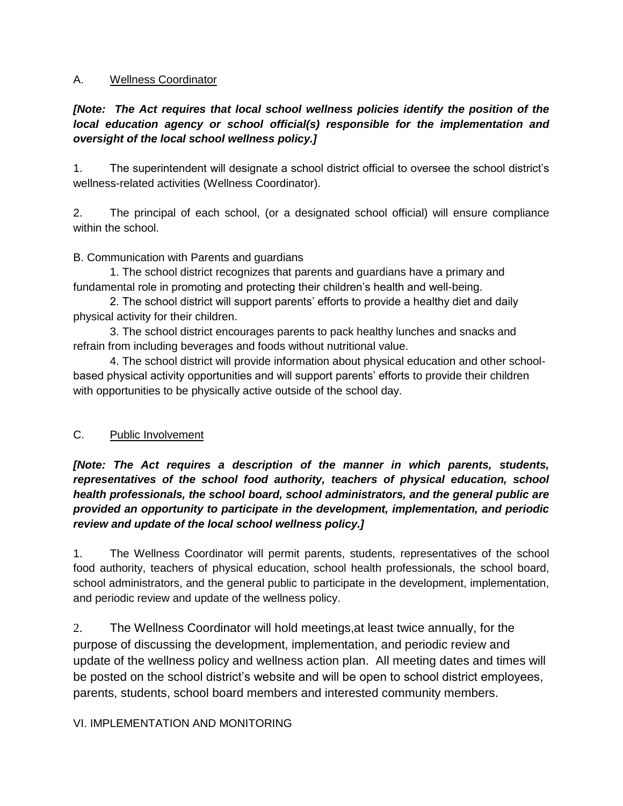#### A. Wellness Coordinator

# *[Note: The Act requires that local school wellness policies identify the position of the local education agency or school official(s) responsible for the implementation and oversight of the local school wellness policy.]*

1. The superintendent will designate a school district official to oversee the school district's wellness-related activities (Wellness Coordinator).

2. The principal of each school, (or a designated school official) will ensure compliance within the school.

B. Communication with Parents and guardians

1. The school district recognizes that parents and guardians have a primary and fundamental role in promoting and protecting their children's health and well-being.

2. The school district will support parents' efforts to provide a healthy diet and daily physical activity for their children.

3. The school district encourages parents to pack healthy lunches and snacks and refrain from including beverages and foods without nutritional value.

4. The school district will provide information about physical education and other schoolbased physical activity opportunities and will support parents' efforts to provide their children with opportunities to be physically active outside of the school day.

## C. Public Involvement

*[Note: The Act requires a description of the manner in which parents, students, representatives of the school food authority, teachers of physical education, school health professionals, the school board, school administrators, and the general public are provided an opportunity to participate in the development, implementation, and periodic review and update of the local school wellness policy.]*

1. The Wellness Coordinator will permit parents, students, representatives of the school food authority, teachers of physical education, school health professionals, the school board, school administrators, and the general public to participate in the development, implementation, and periodic review and update of the wellness policy.

2. The Wellness Coordinator will hold meetings,at least twice annually, for the purpose of discussing the development, implementation, and periodic review and update of the wellness policy and wellness action plan. All meeting dates and times will be posted on the school district's website and will be open to school district employees, parents, students, school board members and interested community members.

## VI. IMPLEMENTATION AND MONITORING